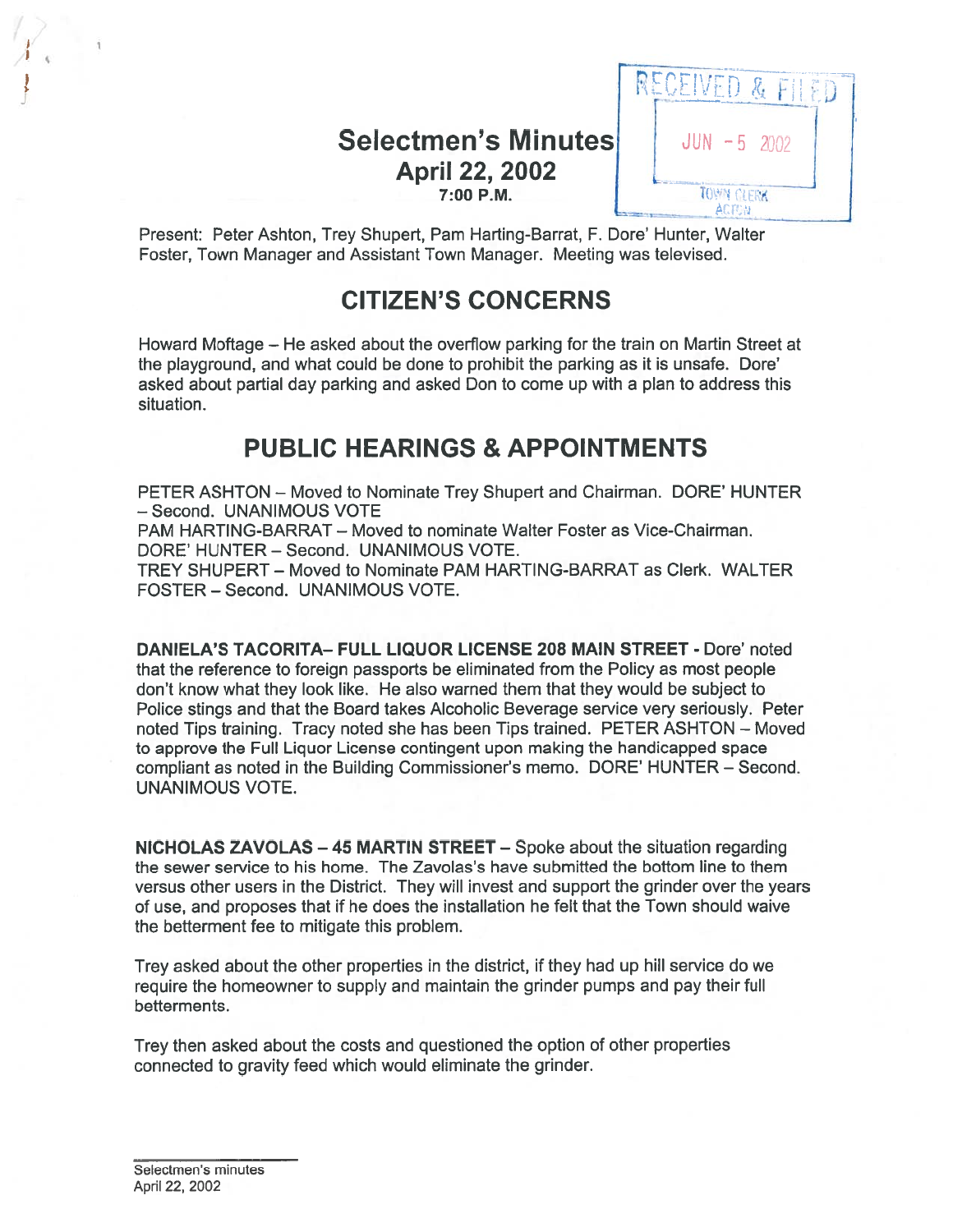# Selectmen's Minutes JUN -5 2002 April 22, 2002 **7:00 P.M. TOWN CLERK**



Present: Peter Ashton, Trey Shupert, Pam Harting-Barrat, F. Dore' Hunter, Walter Foster, Town Manager and Assistant Town Manager. Meeting was televised.

# CITIZEN'S CONCERNS

Howard Moftage — He asked about the overflow parking for the train on Martin Street at the playground, and what could be done to prohibit the parking as it is unsafe. Dore' asked about partial day parking and asked Don to come up with <sup>a</sup> plan to address this situation.

# PUBLIC HEARINGS & APPOINTMENTS

PETER ASHTON — Moved to Nominate Trey Shupert and Chairman. DORE' HUNTER - Second. UNANIMOUS VOTE

PAM HARTING-BARRAT — Moved to nominate Walter Foster as Vice-Chairman. DORE' HUNTER — Second. UNANIMOUS VOTE.

TREY SHUPERT — Moved to Nominate PAM HARTING-BARRAT as Clerk. WALTER FOSTER — Second. UNANIMOUS VOTE.

DANIELA'S TACORITA— FULL LIQUOR LICENSE 208 MAIN STREET - Dore' noted that the reference to foreign passports be eliminated from the Policy as most people don't know what they look like. He also warned them that they would be subject to Police stings and that the Board takes Alcoholic Beverage service very seriously. Peter noted Tips training. Tracy noted she has been Tips trained. PETER ASHTON — Moved to approve the Full Liquor License contingent upon making the handicapped space compliant as noted in the Building Commissioner's memo. DORE' HUNTER — Second. UNANIMOUS VOTE.

NICHOLAS ZAVOLAS —45 MARTIN STREET — Spoke about the situation regarding the sewer service to his home. The Zavolas's have submitted the bottom line to them versus other users in the District. They will invest and suppor<sup>t</sup> the grinder over the years of use, and proposes that if he does the installation he felt that the Town should waive the betterment fee to mitigate this problem.

Trey asked about the other properties in the district, if they had up hill service do we require the homeowner to supply and maintain the grinder pumps and pay their full betterments.

Trey then asked about the costs and questioned the option of other properties connected to gravity feed which would eliminate the grinder.

Selectmen's minutes April 22, 2002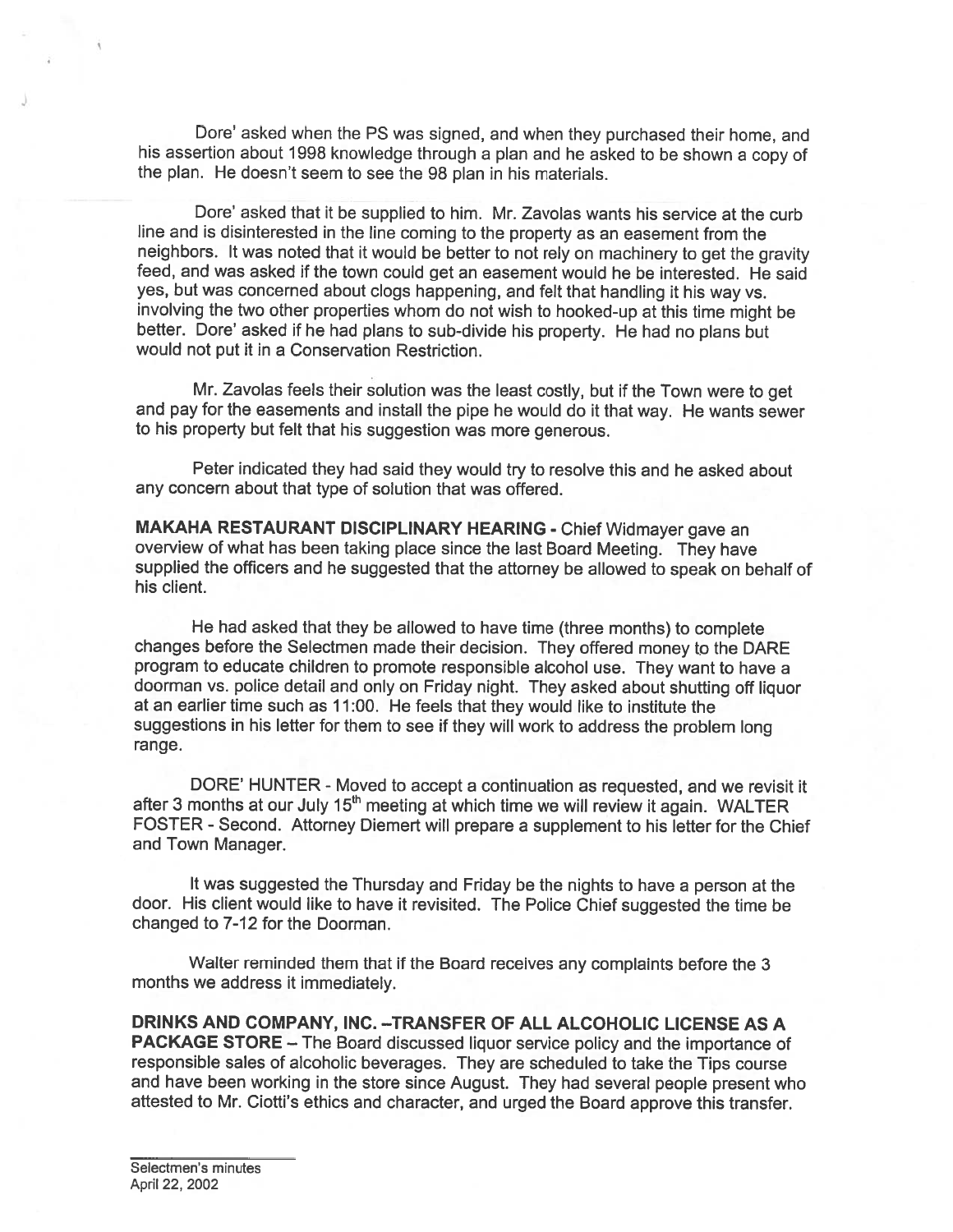Dore' asked when the PS was signed, and when they purchased their home, and his assertion about <sup>1998</sup> knowledge through <sup>a</sup> <sup>p</sup>lan and he asked to be shown <sup>a</sup> copy of the <sup>p</sup>lan. He doesn't seem to see the 98 <sup>p</sup>lan in his materials.

Dore' asked that it be supplied to him. Mr. Zavolas wants his service at the curb line and is disinterested in the line coming to the property as an easement from the neighbors. It was noted that it would be better to not rely on machinery to ge<sup>t</sup> the gravity feed, and was asked if the town could ge<sup>t</sup> an easement would he be interested. He said yes, but was concerned about clogs happening, and felt that handling it his way vs. involving the two other properties whom do not wish to hooked-up at this time might be better. Dore' asked if he had plans to sub-divide his property. He had no plans but would not pu<sup>t</sup> it in <sup>a</sup> Conservation Restriction.

Mr. Zavolas feels their solution was the least costly, but if the Town were to ge<sup>t</sup> and pay for the easements and install the <sup>p</sup>ipe he would do it that way. He wants sewer to his property but felt that his suggestion was more generous.

Peter indicated they had said they would try to resolve this and he asked about any concern about that type of solution that was offered.

MAKAHA RESTAURANT DISCIPLINARY HEARING - Chief Widmayer gave an overview of what has been taking <sup>p</sup>lace since the last Board Meeting. They have supplied the officers and he suggested that the attorney be allowed to spea<sup>k</sup> on behalf of his client.

He had asked that they be allowed to have time (three months) to complete changes before the Selectmen made their decision. They offered money to the DARE program to educate children to promote responsible alcohol use. They want to have <sup>a</sup> doorman vs. police detail and only on Friday night. They asked about shutting off liquor at an earlier time such as 17:00. He feels that they would like to institute the suggestions in his letter for them to see if they will work to address the problem long range.

DORE' HUNTER - Moved to accep<sup>t</sup> <sup>a</sup> continuation as requested, and we revisit it after 3 months at our July 15<sup>th</sup> meeting at which time we will review it again. WALTER FOSTER - Second. Attorney Diemert will prepare <sup>a</sup> supplement to his letter for the Chief and Town Manager.

It was suggested the Thursday and Friday be the nights to have <sup>a</sup> person at the door. His client would like to have it revisited. The Police Chief suggested the time be changed to 7-12 for the Doorman.

Walter reminded them that if the Board receives any complaints before the <sup>3</sup> months we address it immediately.

DRINKS AND COMPANY, INC. -- TRANSFER OF ALL ALCOHOLIC LICENSE AS A PACKAGE STORE — The Board discussed liquor service policy and the importance of responsible sales of alcoholic beverages. They are scheduled to take the Tips course and have been working in the store since August. They had several people presen<sup>t</sup> who attested to Mr. Ciotti's ethics and character, and urged the Board approve this transfer.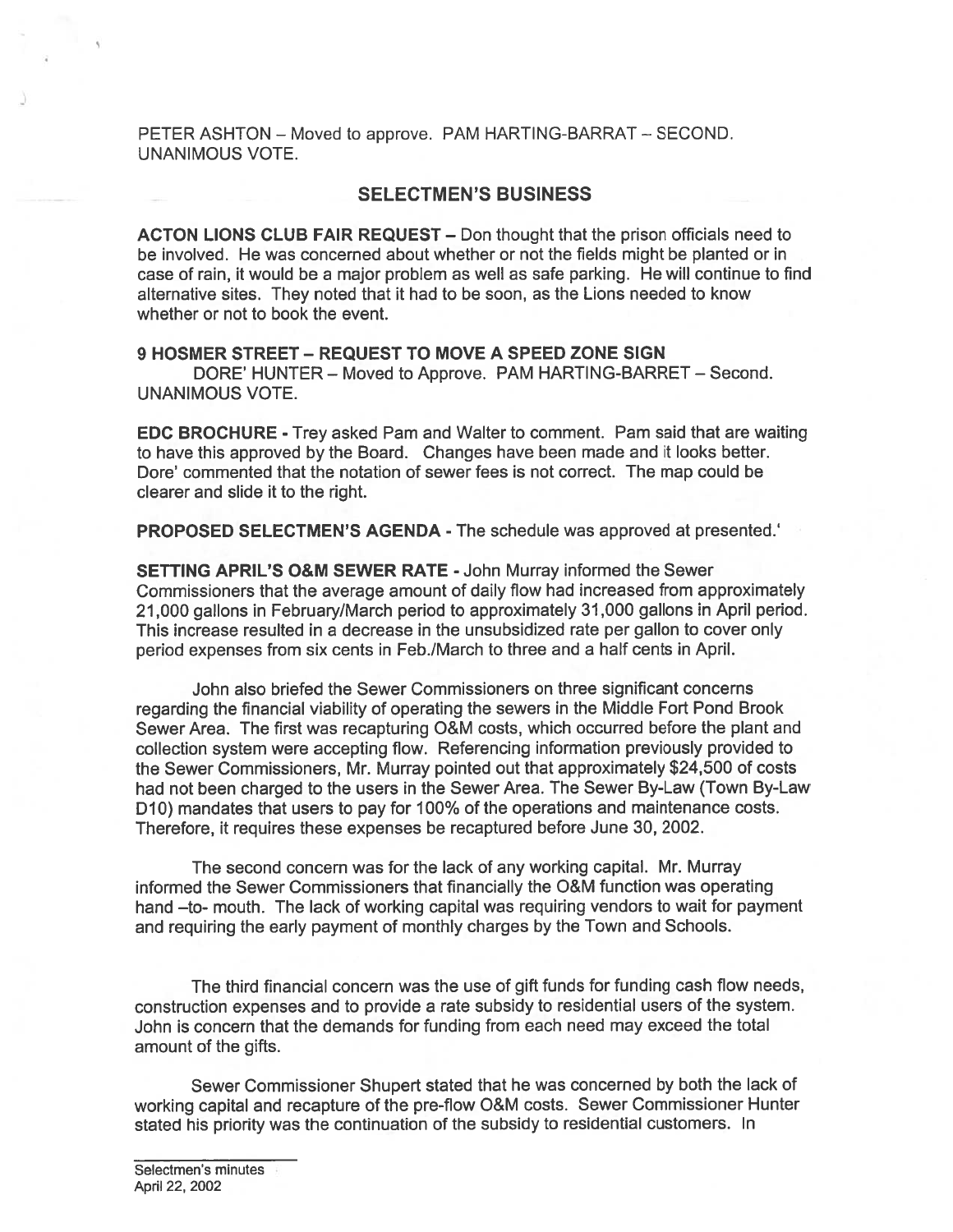PETER ASHTON — Moved to approve. PAM HARTING-BARRAT — SECOND. UNANIMOUS VOTE.

#### SELECTMEN'S BUSINESS

ACTON LIONS CLUB FAIR REQUEST — Don thought that the prison officials need to be involved. He was concerned about whether or not the fields might be planted or in case of rain, it would be <sup>a</sup> major problem as well as safe parking. He will continue to find alternative sites. They noted that it had to be soon, as the Lions needed to know whether or not to book the event.

### 9 HOSMER STREET — REQUEST TO MOVE A SPEED ZONE SIGN

DORE' HUNTER — Moved to Approve. PAM HARTING-BARRET — Second. UNANIMOUS VOTE.

EDC BROCHURE - Trey asked Pam and Walter to comment. Pam said that are waiting to have this approved by the Board. Changes have been made and it looks better. Dore' commented that the notation of sewer fees is not correct. The map could be clearer and slide it to the right.

PROPOSED SELECTMEN'S AGENDA - The schedule was approved at presented.'

SETTING APRIL'S O&M SEWER RATE -John Murray informed the Sewer Commissioners that the average amount of daily flow had increased from approximately 21,000 gallons in February/March period to approximately 31,000 gallons in April period. This increase resulted in <sup>a</sup> decrease in the unsubsidized rate per gallon to cover only period expenses from six cents in Feb./March to three and <sup>a</sup> half cents in April.

John also briefed the Sewer Commissioners on three significant concerns regarding the financial viability of operating the sewers in the Middle Fort Pond Brook Sewer Area. The first was recapturing O&M costs, which occurred before the plant and collection system were accepting flow. Referencing information previously provided to the Sewer Commissioners, Mr. Murray pointed out that approximately \$24,500 of costs had not been charged to the users in the Sewer Area. The Sewer By-Law (Town By-Law D10) mandates that users to pay for 100% of the operations and maintenance costs. Therefore, it requires these expenses be recaptured before June 30, 2002.

The second concern was for the lack of any working capital. Mr. Murray informed the Sewer Commissioners that financially the O&M function was operating hand -to- mouth. The lack of working capital was requiring vendors to wait for payment and requiring the early paymen<sup>t</sup> of monthly charges by the Town and Schools.

The third financial concern was the use of gift funds for funding cash flow needs, construction expenses and to provide <sup>a</sup> rate subsidy to residential users of the system. John is concern that the demands for funding from each need may exceed the total amount of the gifts.

Sewer Commissioner Shupert stated that he was concerned by both the lack of working capital and recapture of the pre-flow O&M costs. Sewer Commissioner Hunter stated his priority was the continuation of the subsidy to residential customers. In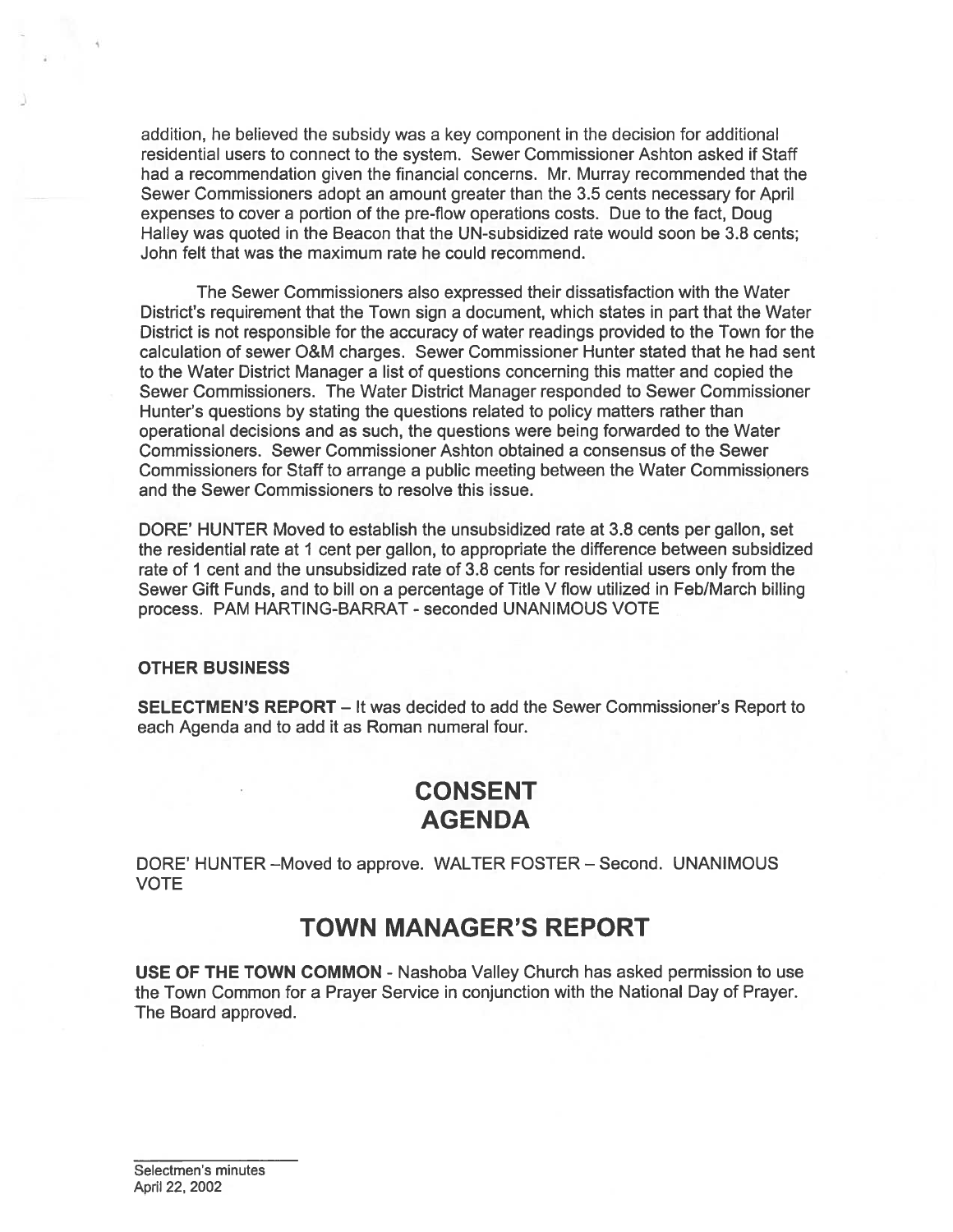addition, he believed the subsidy was <sup>a</sup> key componen<sup>t</sup> in the decision for additional residential users to connect to the system. Sewer Commissioner Ashton asked if Staff had <sup>a</sup> recommendation given the financial concerns. Mr. Murray recommended that the Sewer Commissioners adopt an amount greater than the 3.5 cents necessary for April expenses to cover <sup>a</sup> portion of the pre-flow operations costs. Due to the fact, Doug Halley was quoted in the Beacon that the UN-subsidized rate would soon be 3.8 cents; John felt that was the maximum rate he could recommend.

The Sewer Commissioners also expressed their dissatisfaction with the Water District's requirement that the Town sign <sup>a</sup> document, which states in par<sup>t</sup> that the Water District is not responsible for the accuracy of water readings provided to the Town for the calculation of sewer O&M charges. Sewer Commissioner Hunter stated that he had sent to the Water District Manager <sup>a</sup> list of questions concerning this matter and copied the Sewer Commissioners. The Water District Manager responded to Sewer Commissioner Hunter's questions by stating the questions related to policy matters rather than operational decisions and as such, the questions were being forwarded to the Water Commissioners. Sewer Commissioner Ashton obtained <sup>a</sup> consensus of the Sewer Commissioners for Staff to arrange <sup>a</sup> public meeting between the Water Commissioners and the Sewer Commissioners to resolve this issue.

DORE' HUNTER Moved to establish the unsubsidized rate at 3.8 cents per gallon, set the residential rate at I cent per gallon, to appropriate the difference between subsidized rate of 1 cent and the unsubsidized rate of 3.8 cents for residential users only from the Sewer Gift Funds, and to bill on <sup>a</sup> percentage of Title V flow utilized in Feb/March billing process. PAM HARTING-BARRAT - seconded UNANIMOUS VOTE

### OTHER BUSINESS

SELECTMEN'S REPORT — It was decided to add the Sewer Commissioner's Report to each Agenda and to add it as Roman numeral four.

# CONSENT AGENDA

DORE' HUNTER —Moved to approve. WALTER FOSTER — Second. UNANIMOUS VOTE

## TOWN MANAGER'S REPORT

USE OF THE TOWN COMMON - Nashoba Valley Church has asked permission to use the Town Common for <sup>a</sup> Prayer Service in conjunction with the National Day of Prayer. The Board approved.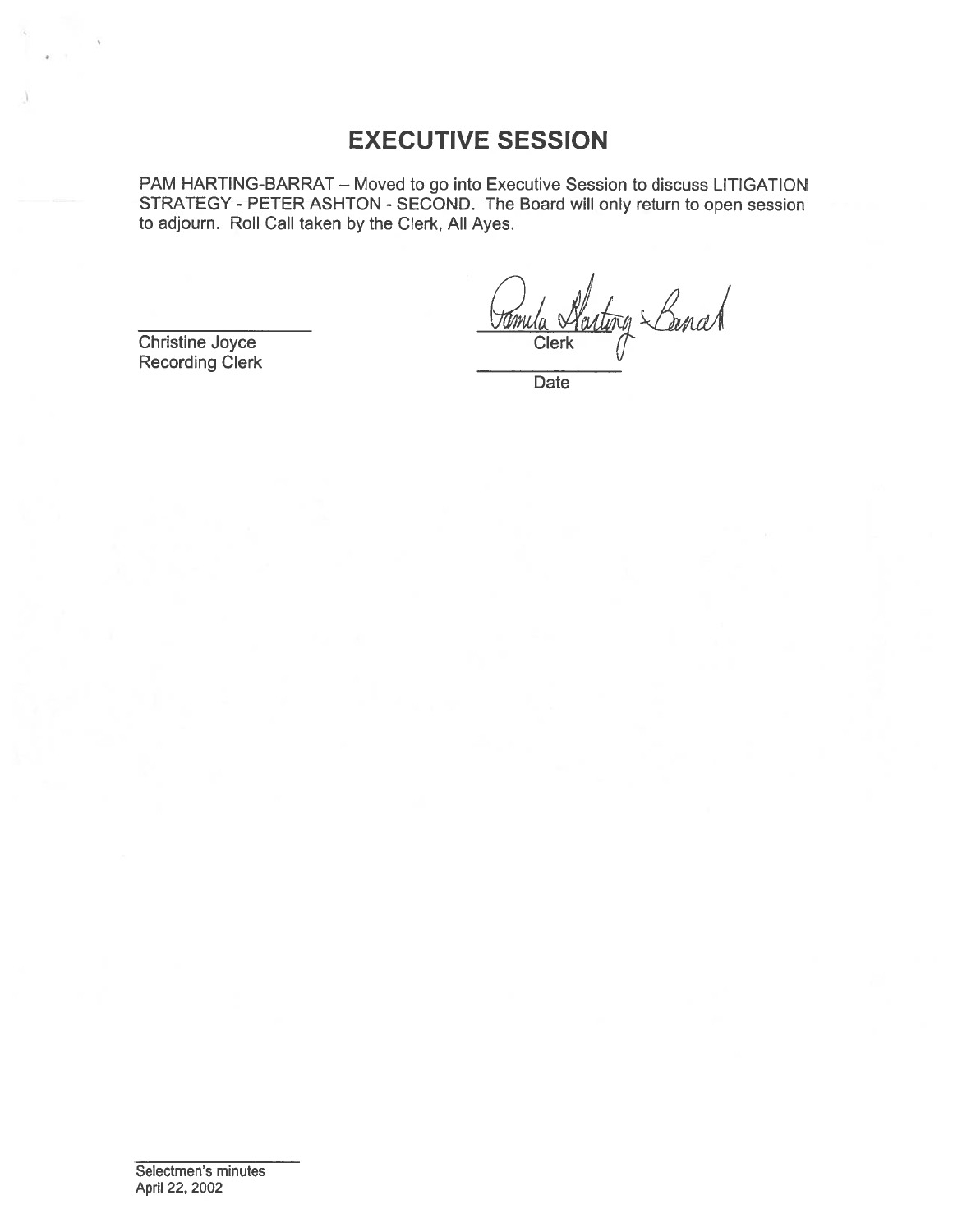# EXECUTIVE SESSION

PAM HARTING-BARRAT — Moved to go into Executive Session to discuss LITIGATION STRATEGY - PETER ASHTON - SECOND. The Board will only return to open session to adjourn. Roll Call taken by the Clerk, All Ayes.

Christine Joyce Clerk Clerk Clerk

Recording Clerk

Date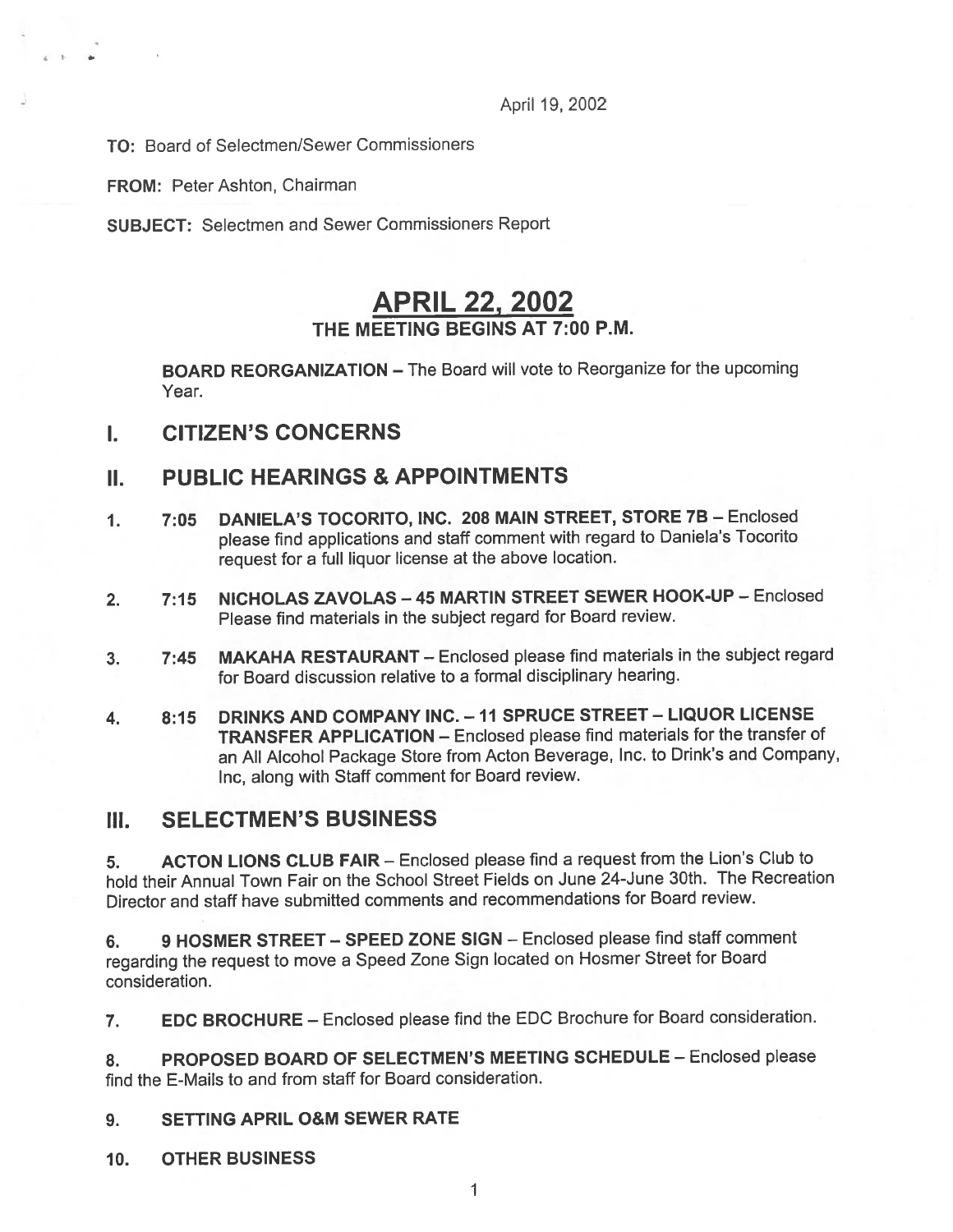April 19, 2002

TO: Board of Selectmen/Sewer Commissioners

FROM: Peter Ashton, Chairman

4 I

SUBJECT: Selectmen and Sewer Commissioners Report

# APRIL 22, 2002 THE MEETING BEGINS AT 7:00 P.M.

BOARD REORGANIZATION — The Board will vote to Reorganize for the upcoming Year.

I. CITIZEN'S CONCERNS

## II. PUBLIC HEARINGS & APPOINTMENTS

- 1. 7:05 DANIELA'S TOCORITO, INC. 208 MAIN STREET, STORE 7B Enclosed <sup>p</sup>lease find applications and staff comment with regar<sup>d</sup> to Daniela's Tocorito reques<sup>t</sup> for <sup>a</sup> full liquor license at the above location.
- 2. 7:15 NICHOLAS ZAVOLAS 45 MARTIN STREET SEWER HOOK-UP Enclosed Please find materials in the subject regard for Board review.
- 3. 7:45 MAKAHA RESTAURANT Enclosed <sup>p</sup>lease find materials in the subject regard for Board discussion relative to <sup>a</sup> formal disciplinary hearing.
- 4. 8:15 DRINKS AND COMPANY INC. —11 SPRUCE STREET LIQUOR LICENSE TRANSFER APPLICATION — Enclosed <sup>p</sup>lease flnd materials for the transfer of an All Alcohol Package Store from Acton Beverage, Inc. to Drink's and Company, mc, along with Staff comment for Board review.

### III. SELECTMEN'S BUSINESS

5. ACTON LIONS CLUB FAIR — Enclosed <sup>p</sup>lease find <sup>a</sup> reques<sup>t</sup> from the Lion's Club to hold their Annual Town Fair on the School Street Fields on June 24-June 30th. The Recreation Director and staff have submitted comments and recommendations for Board review.

6. 9 HOSMER STREET — SPEED ZONE SIGN — Enclosed please find staff comment regarding the reques<sup>t</sup> to move <sup>a</sup> Speed Zone Sign located on Hosmer Street for Board consideration.

7. EDC BROCHURE — Enclosed <sup>p</sup>lease find the EDC Brochure for Board consideration.

8. PROPOSED BOARD OF SELECTMEN'S MEETING SCHEDULE - Enclosed please find the E-Mails to and from staff for Board consideration.

### 9. SETTING APRIL O&M SEWER RATE

10. OTHER BUSINESS